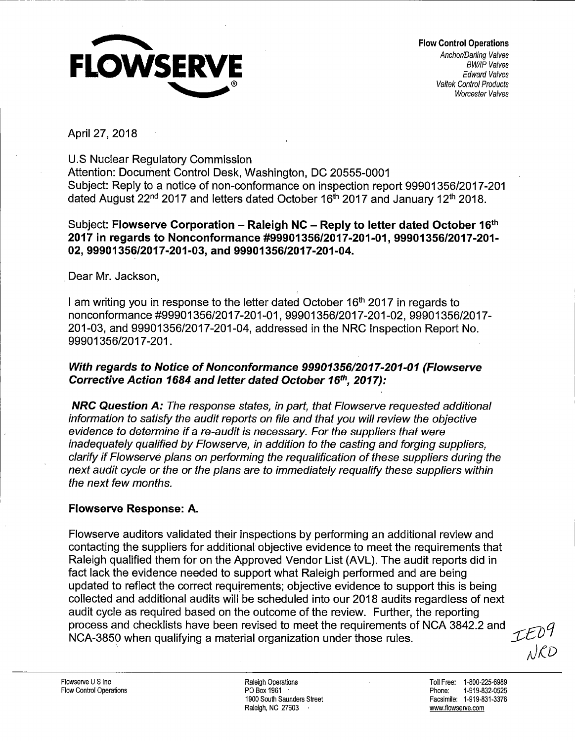

April 27, 2018

U.S Nuclear Regulatory Commission

Attention: Document Control Desk, Washington, DC 20555-0001 Subject: Reply to a notice of non-conformance on inspection report 99901356/2017-201 dated August 22<sup>nd</sup> 2017 and letters dated October 16<sup>th</sup> 2017 and January 12<sup>th</sup> 2018.

### Subject: **Flowserve Corporation – Raleigh NC – Reply to letter dated October 16<sup>th</sup> 2017 in regards to Nonconformance #99901356/2017-201-01, 99901356/2017-201- 02, 99901356/2017-201-03, and 99901356/2017-201-04 .**

. Dear Mr. Jackson,

I am writing you in response to the letter dated October 16<sup>th</sup> 2017 in regards to nonconformance #99901356/2017-201-01, 99901356/2017-201-02, 99901356/2017- 201-03, and 99901356/2017-201-04, addressed in the NRC Inspection Report No. 99901356/2017-201 .

## **With regards to Notice of Nonconformance 99901356/2017-201-01 (Flowserve Corrective Action 1684 and letter dated October 16th, 2017):**

**NRC Question A:** The response states, in part, that Flowserve requested additional information to satisfy the audit reports on file and that you will review the objective evidence to determine if a re-audit is necessary. For the suppliers that were inadequately qualified by Flowserve, in addition to the casting and forging suppliers, clarify if Flowserve plans on performing the requalification of these suppliers during the next audit cycle or the or the plans are to immediately requalify these suppliers within the next few months.

# **Flowserve Response: A.**

Flowserve auditors validated their inspections by performing an additional review and contacting the suppliers for additional objective evidence to meet the requirements that Raleigh qualified them for on the Approved Vendor List (AVL). The audit reports did in fact lack the evidence needed to support what Raleigh performed and are being updated to reflect the correct requirements; objective evidence to support this is being collected and additional audits will be scheduled into our 2018 audits regardless of next audit cycle as required based on the outcome of the review. Further, the reporting process and checklists have been revised to meet the requirements of NCA 3842.2 and *\_C7"1q*  NCA-3850 when qualifying a material organization under those rules.<br> $\mathcal{L}^{UU}$  $\mu$  men qualitying a material erganization and or those raise.

Raleigh Operations PO Box 1961 1900 South Saunders Street Raleigh, NC 27603 ,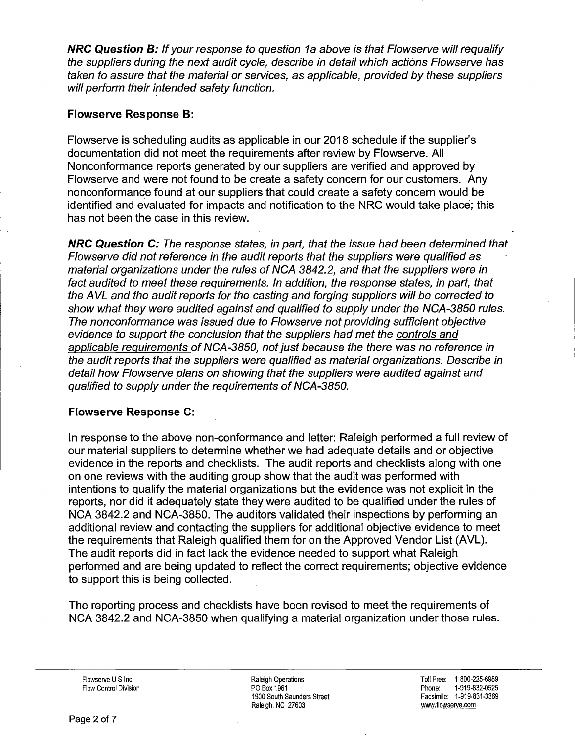**NRC Question B:** If your response to question 1a above is that Flowserve will requalify the suppliers during the next audit cycle, describe in detail which actions Flowserve has taken to assure that the material or services, as applicable, provided by these suppliers will perform their intended safety function.

## **Flowserve Response B:**

Flowserve is scheduling audits as applicable in our 2018 schedule if the supplier's documentation did not meet the requirements after review by Flowserve. All Nonconformance reports generated by our suppliers are verified and approved by Flowserve and were not found to be create a safety concern for our customers. Any nonconformance found at our suppliers that could create a safety concern would be identified and evaluated for impacts and notification to the NRC would take place; this has not been the case in this review.

**NRC Question C:** The response states, in part, that the issue had been determined that Flowserve did not reference in the audit reports that the suppliers were qualified as material organizations under the rules of NGA 3842.2, and that the suppliers were in fact audited to meet these requirements. In addition, the response states, in part, that the AVL and the audit reports for the casting and forging suppliers will be corrected to show what they were audited against and qualified to supply under the NCA-3850 rules. The nonconformance was issued due to Flowserve not providing sufficient objective evidence to support the conclusion that the suppliers had met the controls and applicable requirements of NCA-3850, not just because the thete was no reference in the audit reports that the suppliers were qualified as material organizations. Describe in detail how Flowserve plans on showing that the suppliers were audited against and qualified to supply under the requirements of NCA-3850.

# **Flowserve Response C:**

In response to the above non-conformance and letter: Raleigh performed a full review of our material suppliers to determine whether we had adequate details and or objective evidence in the reports and checklists. The audit reports and checklists along with one on one reviews with the auditing group show that the audit was performed with intentions to qualify the material organizations but the evidence was not explicit in the reports, nor did it adequately state they were audited to be qualified under the rules of NCA 3842.2 and NCA-3850. The auditors validated their inspections by performing an additional review and contacting the suppliers for additional objective evidence to meet the requirements that Raleigh qualified them for on the Approved Vendor List (AVL). The audit reports did in fact lack the evidence needed to support what Raleigh performed and are being updated to reflect the correct requirements; objective evidence to support this is being collected.

The reporting process and checklists have been revised to meet the requirements of NCA 3842.2 and NCA-3850 when qualifying a material organization under those rules.

Flowserve U S Inc Flow Control Division Raleigh Operations PO Box 1961 1900 South Saunders Street Raleigh, NC 27603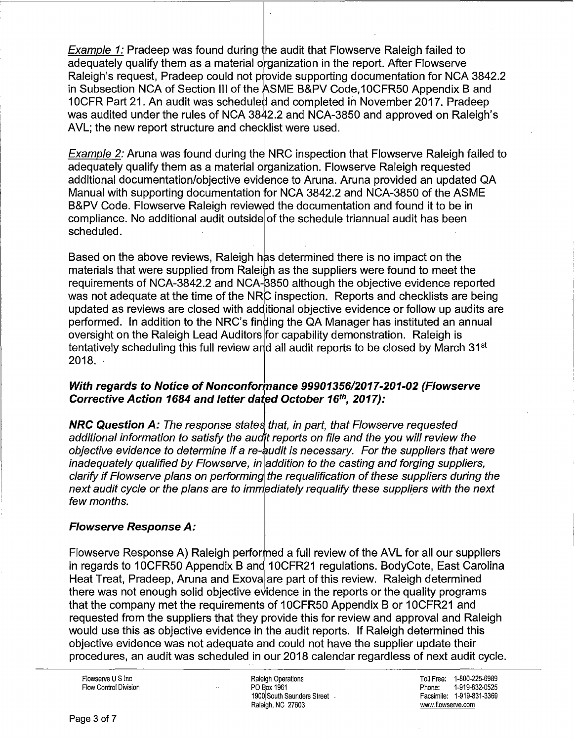Example 1: Pradeep was found during the audit that Flowserve Raleigh failed to adequately qualify them as a material organization in the report. After Flowserve Raleigh's request, Pradeep could not provide supporting documentation for NCA 3842.2 in Subsection NCA of Section III of the ASME B&PV Code,10CFR50 Appendix B and 10 OFR Part 21. An audit was scheduled and completed in November 2017. Pradeep was audited under the rules of NCA 3842.2 and NCA-3850 and approved on Raleigh's AVL; the new report structure and checklist were used.

Example 2: Aruna was found during the NRC inspection that Flowserve Raleigh failed to adequately qualify them as a material organization. Flowserve Raleigh requested additional documentation/objective evid1 ence to Aruna. Aruna provided an updated QA Manual with supporting documentation for NGA 3842.2 and NCA-3850 of the ASME B&PV Code. Flowserve Raleigh reviewed the documentation and found it to be in compliance. No additional audit outside of the schedule triannual audit has been scheduled.

Based on the above reviews, Raleigh has determined there is no impact on the materials that were supplied from Raleigh as the suppliers were found to meet the requirements of NCA-3842.2 and NCA-3850 although the objective evidence reported was not adequate at the time of the NRC inspection. Reports and checklists are being updated as reviews are closed with additional objective evidence or follow up audits are performed. In addition to the NRC's finding the QA Manager has instituted an annual oversight on the Raleigh Lead Auditors for capability demonstration. Raleigh is tentatively scheduling this full review and all audit reports to be closed by March 31<sup>st</sup> 2018. ·

### **With regards to Notice of Nonconformance 99901356/2017-201-02 (Flowserve Corrective Action 1684 and letter dajed October 16'h, 2017):**

**NRC Question A:** The response states that, in part, that Flowserve requested additional information to satisfy the audit reports on file and the you will review the objective evidence to determine if a re-audit is necessary. For the suppliers that were inadequately qualified by Flowserve, in addition to the casting and forging suppliers, clarify if Flowserve plans on performing the requalification of these suppliers during the next audit cycle or the plans are to immediately requalify these suppliers with the next few months.

# **Flowserve Response A:**

Flowserve Response A) Raleigh performed a full review of the AVL for all our suppliers in regards to 10CFR50 Appendix B and 10CFR21 regulations. BodyCote, East Carolina Heat Treat, Pradeep, Aruna and Exova are part of this review. Raleigh determined there was not enough solid objective evidence in the reports or the quality programs that the company met the requirements of 10CFR50 Appendix B or 10CFR21 and requested from the suppliers that they provide this for review and approval and Raleigh would use this as objective evidence in lthe audit reports. If Raleigh determined this objective evidence was not adequate ahd could not have the supplier update their procedures, an audit was scheduled in pur 2018 calendar regardless of next audit cycle.

Flowserve U S Inc Flow Control Division

I Raleigh Operations PO Box 1961 1900 South Saunders Street . Raleigh, NC 27603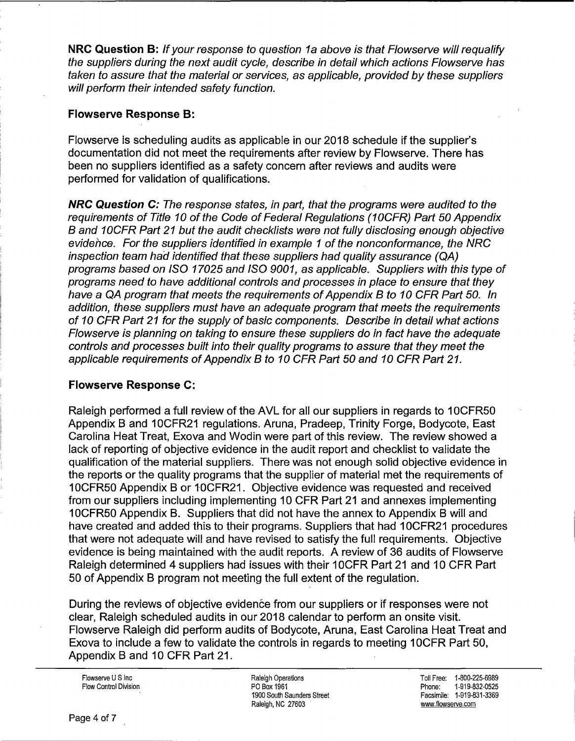**NRC Question B:** If your response to question 1a above is that Flowserve will requalify the suppliers during the next audit cycle, describe in detail which actions Flowserve has taken to assure that the material or services, as applicable, provided by these suppliers will perform their intended safety function.

### **Flowserve Response B:**

Flowserve is scheduling audits as applicable in our 2018 schedule if the supplier's documentation did not meet the requirements after review by Flowserve. There has been no suppliers identified as a safety concern after reviews and audits were performed for validation of qualifications.

**NRC Question C:** The response states, in part, that the programs were audited to the requirements of Title 10 of the Code of Federal Regulations (10CFR) Part 50 Appendix B and 10CFR Part 21 but the audit checklists were not fully disclosing enough objective evidence. For the suppliers identified in example 1 of the nonconformance, the NRC inspection team had identified that these suppliers had quality assurance (QA) programs based on ISO 17025 and ISO 9001, as applicable. Suppliers with this type of programs need to have additional controls and processes in place to ensure that they have a QA program that meets the requirements of Appendix B to 10 CFR Part 50. In addition, these suppliers must have an adequate program that meets the requirements of 10 CFR Part 21 for the supply of basic components. Describe in detail what actions Flowserve is planning on taking to ensure these suppliers do in fact have the adequate controls and processes built into their quality programs to assure that they meet the applicable requirements of Appendix B to 10 CFR Part 50 and 10 CFR Part 21.

# **Flowserve Response C:**

Raleigh performed a full review of the AVL for all our suppliers in regards to 1 OCFR50 Appendix B and 10 CFR21 regulations, Aruna, Pradeep, Trinity Forge, Bodycote, East Carolina Heat Treat, Exova and Wodin were part of this review. The review showed a lack of reporting of objective evidence in the audit report and checklist to validate the qualification of the material suppliers. There was not enough solid objective evidence in the reports or the quality programs that the supplier of material met the requirements of 1 OCFR50 Appendix 8 or 1'0CFR21. Objective evidence was requested and received from our suppliers including implementing 10 CFR Part 21 and annexes implementing 1 OCFR50 Appendix 8. Suppliers that did not have the annex to Appendix 8 will and have created and added this to their programs. Suppliers that had 10CFR21 procedures that were not adequate will and have revised to satisfy the full requirements. Objective evidence is being maintained with the audit reports. A review of 36 audits of Flowserve Raleigh determined 4 suppliers had issues with their 10CFR Part 21 and 10 CFR Part 50 of Appendix 8 program not meeting the full extent of the regulation.

During the reviews of objective evidence from our suppliers or if responses were not clear, Raleigh scheduled audits in our 2018 calendar to perform an onsite visit. Flowserve Raleigh did perform audits of Bodycote, Aruna, East Carolina Heat Treat and Exova to include a few to validate the controls in regards to meeting 1 OCFR Part 50, Appendix B and 10 CFR Part 21.

Flowserve U S Inc Flow Control Division Raleigh Operations PO Box 1961 1900 South Saunders Street Raleigh, NC 27603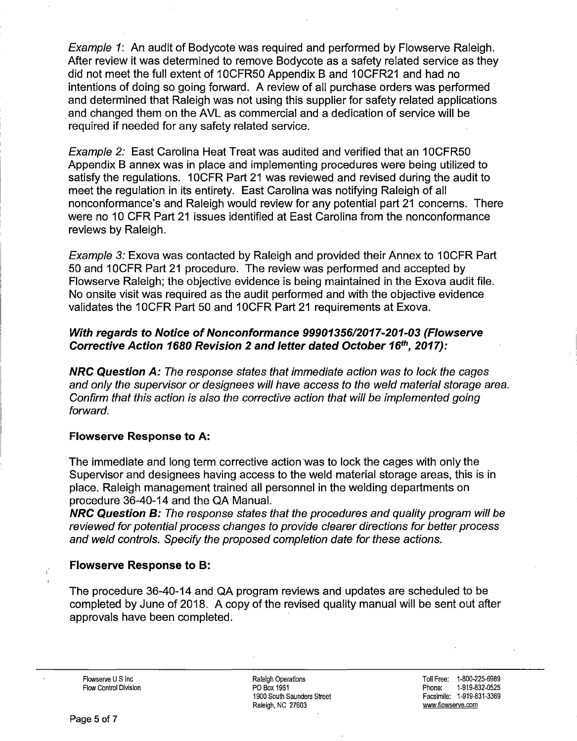Example 1: An audit of Bodycote was required and performed by Flowserve Raleigh. After review it was determined to remove Bodycote as a safety related service as they did not meet the full extent of 10CFR50 Appendix B and 10CFR21 and had no intentions of doing so going forward. A review of all purchase orders was performed and determined that Raleigh was not using this supplier for safety related applications and changed them on the AVL as commercial and a dedication of service will be required if needed for any safety related service.

Example 2: East Carolina Heat Treat was audited and verified that an 1 OCFRSO Appendix B annex was in place and implementing procedures were being utilized to satisfy the regulations. 1 OCFR Part 21 was reviewed and revised during the audit to meet the regulation in its entirety. East Carolina was notifying Raleigh of all nonconformance's and Raleigh would review for any potential part 21 concerns. There were no 10 CFR Part 21 issues identified at East Carolina from the nonconformance reviews by Raleigh.

Example 3: Exova was contacted by Raleigh and provided their Annex to 10CFR Part 50 and 10 CFR Part 21 procedure. The review was performed and accepted by Flowserve Raleigh; the objective evidence is being maintained in the Exova audit file. No onsite visit was required as the audit performed and with the objective evidence validates the 10CFR Part 50 and 10CFR Part 21 requirements at Exova.

## **With regards to Notice of Nonconformance 99901356/2017-201-03 (Flowserve Corrective Action 1680 Revision 2 and letter dated October 16th, 2017):**

**NRC Question A:** The response states that immediate action was to lock the cages and only the supervisor or designees will have access to the weld material storage area. Confirm that this action is also the corrective action that will be implemented going forward.

### **Flowserve Response to A:**

The immediate and long term corrective action was to lock the cages with only the Supervisor and designees having access to the weld material storage areas, this is in place. Raleigh management trained all personnel in the welding departments on procedure 36-40-14 and the QA Manual.

**NRC Question B:** The response states that the procedures and quality program will be reviewed for potential process changes to provide clearer directions for better process and weld controls. Specify the proposed completion date for these actions.

### **Flowserve Response to B:**

The procedure 36-40-14 and QA program reviews and updates are scheduled to be completed by June of 2018. A copy of the revised quality manual will be sent out after approvals have been completed.

Flowserve U S Inc Flow Control Division Raleigh Operations PO Box 1961 1900 South Saunders Street Raleigh, NC 27603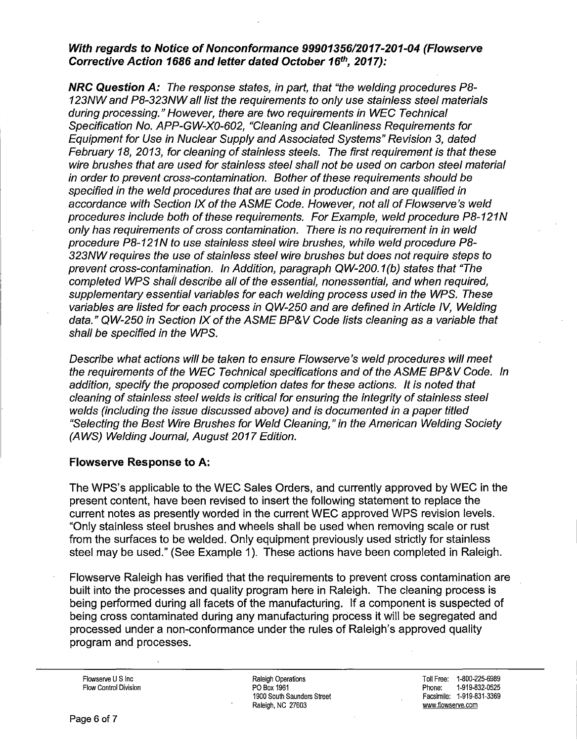#### **With regards to Notice of Nonconformance 99901356/2017-201-04 (Flowserve Corrective Action 1686 and letter dated October 16th, 2017):**

**NRC Question A:** The response states, in part, that "the welding procedures PB-123NW and PB-323NW all fist the requirements to only use stainless steel materials during processing." However, there are two requirements in WEC Technical Specification No. APP-GW-X0-602, "Cleaning and Cleanliness Requirements for Equipment for Use in Nuclear Supply and Associated Systems" Revision 3, dated February 18, 2013, for cleaning of stainless steels. The first requirement is that these wire brushes that are used for stainless steel shall not be used on carbon steel material in order to prevent cross-contamination. Bother of these requirements should be specified in the weld procedures that are used in production and are qualified in accordance with Section IX of the ASME Code. However, not all of Flowserve's weld procedures include both of these requirements. For Example, weld procedure PB-121N only has requirements of cross contamination. There is no requirement in in weld procedure PB-121N to use stainless steel wire brushes, while weld procedure PB-323NW requires the use of stainless steel wire brushes but does not require steps to prevent cross-contamination. In Addition, paragraph QW-200.1(b) states that "The completed WPS shall describe all of the essential, nonessential, and when required, supplementary essential variables for each welding process used in the WPS. These variables are listed for each process in QW-250 and are defined in Article IV, Welding data." QW-250 in Section IX of the ASME BP&V Code fists cleaning as a variable that shall be specified in the WPS.

Describe what actions will be taken to ensure Flowserve 's weld procedures will meet the requirements of the WEC Technical specifications and of the ASME BP&V Code. In addition, specify the proposed completion dates for these actions. It is noted that cleaning of stainless steel welds is critical for ensuring the integrity of stainless steel welds (including the issue discussed above) and is documented in a paper titled "Selecting the Best Wire Brushes for Weld Cleaning," in the American Welding Society **(AWS)** Welding Journal, August 2017 Edition.

#### **Flowserve Response to A:**

The WPS's applicable to the WEC Sales Orders, and currently approved by WEC in the present content, have been revised to insert the following statement to replace the current notes as presently worded in the current WEC approved WPS revision levels. "Only stainless steel brushes and wheels shall be used when removing scale or rust from the surfaces to be welded. Only equipment previously used strictly for stainless steel may be used." (See Example 1). These actions have been completed in Raleigh.

Flowserve Raleigh has verified that the requirements to prevent cross contamination are built into the processes and quality program here in Raleigh. The cleaning process is being performed during all facets of the manufacturing. If a component is suspected of being cross contaminated during any manufacturing process it will be segregated and processed under a non-conformance under the rules of Raleigh's approved quality program and processes.

Flowserve U S Inc. Flow Control Division Raleigh Operations PO Box 1961 1900 South Saunders Street Raleigh, NC 27603